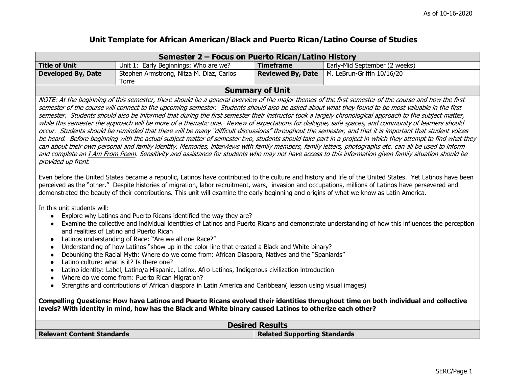## **Unit Template for African American/Black and Puerto Rican/Latino Course of Studies**

|                                                                                                                                                                                                                                                                                                                                                                                                                                                                                                                                                                                                                                                                                                                                                                                                                                                                                                                                                                                                                                                                                                                                                                                                                                                                                                | Semester 2 - Focus on Puerto Rican/Latino History |                                     |                               |
|------------------------------------------------------------------------------------------------------------------------------------------------------------------------------------------------------------------------------------------------------------------------------------------------------------------------------------------------------------------------------------------------------------------------------------------------------------------------------------------------------------------------------------------------------------------------------------------------------------------------------------------------------------------------------------------------------------------------------------------------------------------------------------------------------------------------------------------------------------------------------------------------------------------------------------------------------------------------------------------------------------------------------------------------------------------------------------------------------------------------------------------------------------------------------------------------------------------------------------------------------------------------------------------------|---------------------------------------------------|-------------------------------------|-------------------------------|
| <b>Title of Unit</b>                                                                                                                                                                                                                                                                                                                                                                                                                                                                                                                                                                                                                                                                                                                                                                                                                                                                                                                                                                                                                                                                                                                                                                                                                                                                           | Unit 1: Early Beginnings: Who are we?             | <b>Timeframe</b>                    | Early-Mid September (2 weeks) |
| <b>Developed By, Date</b>                                                                                                                                                                                                                                                                                                                                                                                                                                                                                                                                                                                                                                                                                                                                                                                                                                                                                                                                                                                                                                                                                                                                                                                                                                                                      | Stephen Armstrong, Nitza M. Diaz, Carlos<br>Torre | <b>Reviewed By, Date</b>            | M. LeBrun-Griffin 10/16/20    |
|                                                                                                                                                                                                                                                                                                                                                                                                                                                                                                                                                                                                                                                                                                                                                                                                                                                                                                                                                                                                                                                                                                                                                                                                                                                                                                |                                                   | <b>Summary of Unit</b>              |                               |
| NOTE: At the beginning of this semester, there should be a general overview of the major themes of the first semester of the course and how the first<br>semester of the course will connect to the upcoming semester. Students should also be asked about what they found to be most valuable in the first<br>semester. Students should also be informed that during the first semester their instructor took a largely chronological approach to the subject matter,<br>while this semester the approach will be more of a thematic one. Review of expectations for dialogue, safe spaces, and community of learners should<br>occur. Students should be reminded that there will be many "difficult discussions" throughout the semester, and that it is important that student voices<br>be heard. Before beginning with the actual subject matter of semester two, students should take part in a project in which they attempt to find what they<br>can about their own personal and family identity. Memories, interviews with family members, family letters, photographs etc. can all be used to inform<br>and complete an I Am From Poem. Sensitivity and assistance for students who may not have access to this information given family situation should be<br>provided up front. |                                                   |                                     |                               |
| Even before the United States became a republic, Latinos have contributed to the culture and history and life of the United States. Yet Latinos have been<br>perceived as the "other." Despite histories of migration, labor recruitment, wars, invasion and occupations, millions of Latinos have persevered and<br>demonstrated the beauty of their contributions. This unit will examine the early beginning and origins of what we know as Latin America.<br>In this unit students will:                                                                                                                                                                                                                                                                                                                                                                                                                                                                                                                                                                                                                                                                                                                                                                                                   |                                                   |                                     |                               |
| Explore why Latinos and Puerto Ricans identified the way they are?<br>$\bullet$<br>Examine the collective and individual identities of Latinos and Puerto Ricans and demonstrate understanding of how this influences the perception<br>$\bullet$<br>and realities of Latino and Puerto Rican<br>Latinos understanding of Race: "Are we all one Race?"<br>$\bullet$                                                                                                                                                                                                                                                                                                                                                                                                                                                                                                                                                                                                                                                                                                                                                                                                                                                                                                                            |                                                   |                                     |                               |
| Understanding of how Latinos "show up in the color line that created a Black and White binary?<br>$\bullet$<br>Debunking the Racial Myth: Where do we come from: African Diaspora, Natives and the "Spaniards"<br>$\bullet$<br>Latino culture: what is it? Is there one?<br>$\bullet$                                                                                                                                                                                                                                                                                                                                                                                                                                                                                                                                                                                                                                                                                                                                                                                                                                                                                                                                                                                                          |                                                   |                                     |                               |
| Latino identity: Label, Latino/a Hispanic, Latinx, Afro-Latinos, Indigenous civilization introduction<br>$\bullet$<br>Where do we come from: Puerto Rican Migration?<br>$\bullet$                                                                                                                                                                                                                                                                                                                                                                                                                                                                                                                                                                                                                                                                                                                                                                                                                                                                                                                                                                                                                                                                                                              |                                                   |                                     |                               |
| Strengths and contributions of African diaspora in Latin America and Caribbean( lesson using visual images)<br>$\bullet$                                                                                                                                                                                                                                                                                                                                                                                                                                                                                                                                                                                                                                                                                                                                                                                                                                                                                                                                                                                                                                                                                                                                                                       |                                                   |                                     |                               |
| Compelling Questions: How have Latinos and Puerto Ricans evolved their identities throughout time on both individual and collective<br>levels? With identity in mind, how has the Black and White binary caused Latinos to otherize each other?                                                                                                                                                                                                                                                                                                                                                                                                                                                                                                                                                                                                                                                                                                                                                                                                                                                                                                                                                                                                                                                |                                                   |                                     |                               |
| <b>Desired Results</b>                                                                                                                                                                                                                                                                                                                                                                                                                                                                                                                                                                                                                                                                                                                                                                                                                                                                                                                                                                                                                                                                                                                                                                                                                                                                         |                                                   |                                     |                               |
| <b>Relevant Content Standards</b>                                                                                                                                                                                                                                                                                                                                                                                                                                                                                                                                                                                                                                                                                                                                                                                                                                                                                                                                                                                                                                                                                                                                                                                                                                                              |                                                   | <b>Related Supporting Standards</b> |                               |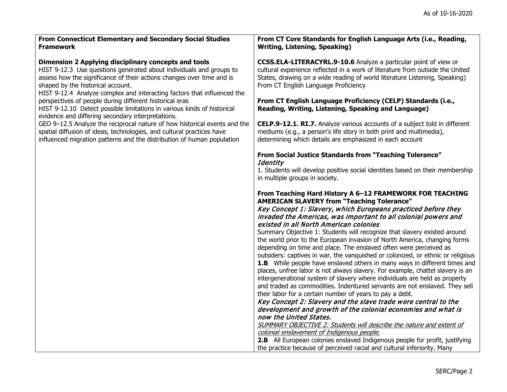| From Connecticut Elementary and Secondary Social Studies<br><b>Framework</b>                                                                                                                                                                                                                                         | From CT Core Standards for English Language Arts (i.e., Reading,<br><b>Writing, Listening, Speaking)</b>                                                                                                                                                                                                                                                                                                                                                                                                                                                                                                                                                                                                                                                                                                                                                                                                                                                                                                                                                                                                                                                                                                                                                                                                                                                                   |
|----------------------------------------------------------------------------------------------------------------------------------------------------------------------------------------------------------------------------------------------------------------------------------------------------------------------|----------------------------------------------------------------------------------------------------------------------------------------------------------------------------------------------------------------------------------------------------------------------------------------------------------------------------------------------------------------------------------------------------------------------------------------------------------------------------------------------------------------------------------------------------------------------------------------------------------------------------------------------------------------------------------------------------------------------------------------------------------------------------------------------------------------------------------------------------------------------------------------------------------------------------------------------------------------------------------------------------------------------------------------------------------------------------------------------------------------------------------------------------------------------------------------------------------------------------------------------------------------------------------------------------------------------------------------------------------------------------|
| Dimension 2 Applying disciplinary concepts and tools<br>HIST 9-12.3 Use questions generated about individuals and groups to<br>assess how the significance of their actions changes over time and is<br>shaped by the historical account.<br>HIST 9-12.4 Analyze complex and interacting factors that influenced the | CCSS.ELA-LITERACYRL.9-10.6 Analyze a particular point of view or<br>cultural experience reflected in a work of literature from outside the United<br>States, drawing on a wide reading of world literature Listening, Speaking)<br>From CT English Language Proficiency                                                                                                                                                                                                                                                                                                                                                                                                                                                                                                                                                                                                                                                                                                                                                                                                                                                                                                                                                                                                                                                                                                    |
| perspectives of people during different historical eras<br>HIST 9-12.10 Detect possible limitations in various kinds of historical<br>evidence and differing secondary interpretations.                                                                                                                              | From CT English Language Proficiency (CELP) Standards (i.e.,<br>Reading, Writing, Listening, Speaking and Language)                                                                                                                                                                                                                                                                                                                                                                                                                                                                                                                                                                                                                                                                                                                                                                                                                                                                                                                                                                                                                                                                                                                                                                                                                                                        |
| GEO 9-12.5 Analyze the reciprocal nature of how historical events and the<br>spatial diffusion of ideas, technologies, and cultural practices have<br>influenced migration patterns and the distribution of human population                                                                                         | CELP.9-12.1. RI.7. Analyze various accounts of a subject told in different<br>mediums (e.g., a person's life story in both print and multimedia),<br>determining which details are emphasized in each account                                                                                                                                                                                                                                                                                                                                                                                                                                                                                                                                                                                                                                                                                                                                                                                                                                                                                                                                                                                                                                                                                                                                                              |
|                                                                                                                                                                                                                                                                                                                      | <b>From Social Justice Standards from "Teaching Tolerance"</b><br><b>Identity</b><br>1. Students will develop positive social identities based on their membership<br>in multiple groups in society.                                                                                                                                                                                                                                                                                                                                                                                                                                                                                                                                                                                                                                                                                                                                                                                                                                                                                                                                                                                                                                                                                                                                                                       |
|                                                                                                                                                                                                                                                                                                                      | From Teaching Hard History A 6-12 FRAMEWORK FOR TEACHING<br><b>AMERICAN SLAVERY from "Teaching Tolerance"</b><br>Key Concept 1: Slavery, which Europeans practiced before they<br>invaded the Americas, was important to all colonial powers and<br>existed in all North American colonies<br>Summary Objective 1: Students will recognize that slavery existed around<br>the world prior to the European invasion of North America, changing forms<br>depending on time and place. The enslaved often were perceived as<br>outsiders: captives in war, the vanquished or colonized, or ethnic or religious<br><b>1.B</b> While people have enslaved others in many ways in different times and<br>places, unfree labor is not always slavery. For example, chattel slavery is an<br>intergenerational system of slavery where individuals are held as property<br>and traded as commodities. Indentured servants are not enslaved. They sell<br>their labor for a certain number of years to pay a debt.<br>Key Concept 2: Slavery and the slave trade were central to the<br>development and growth of the colonial economies and what is<br>now the United States.<br>SUMMARY OBJECTIVE 2: Students will describe the nature and extent of<br>colonial enslavement of Indigenous people.<br>2.B All European colonies enslaved Indigenous people for profit, justifying |
|                                                                                                                                                                                                                                                                                                                      | the practice because of perceived racial and cultural inferiority. Many                                                                                                                                                                                                                                                                                                                                                                                                                                                                                                                                                                                                                                                                                                                                                                                                                                                                                                                                                                                                                                                                                                                                                                                                                                                                                                    |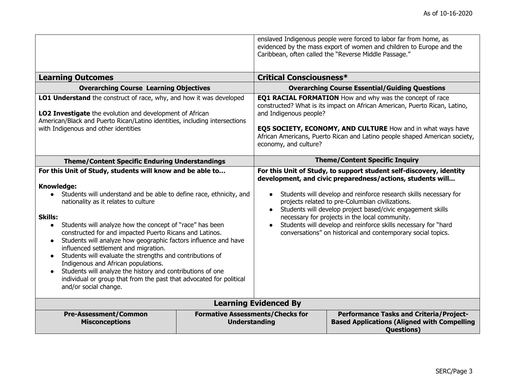|                                                                                                                                                                                                                                                                                                                                                                                                                                                                                                                                                                                                                                                                                                                                               |                                                                 |                                                                                                                                                                                                                                                                                                                                                                                                                                                                                                                                         | enslaved Indigenous people were forced to labor far from home, as<br>evidenced by the mass export of women and children to Europe and the<br>Caribbean, often called the "Reverse Middle Passage." |
|-----------------------------------------------------------------------------------------------------------------------------------------------------------------------------------------------------------------------------------------------------------------------------------------------------------------------------------------------------------------------------------------------------------------------------------------------------------------------------------------------------------------------------------------------------------------------------------------------------------------------------------------------------------------------------------------------------------------------------------------------|-----------------------------------------------------------------|-----------------------------------------------------------------------------------------------------------------------------------------------------------------------------------------------------------------------------------------------------------------------------------------------------------------------------------------------------------------------------------------------------------------------------------------------------------------------------------------------------------------------------------------|----------------------------------------------------------------------------------------------------------------------------------------------------------------------------------------------------|
| <b>Learning Outcomes</b>                                                                                                                                                                                                                                                                                                                                                                                                                                                                                                                                                                                                                                                                                                                      |                                                                 | <b>Critical Consciousness*</b>                                                                                                                                                                                                                                                                                                                                                                                                                                                                                                          |                                                                                                                                                                                                    |
| <b>Overarching Course Learning Objectives</b>                                                                                                                                                                                                                                                                                                                                                                                                                                                                                                                                                                                                                                                                                                 |                                                                 |                                                                                                                                                                                                                                                                                                                                                                                                                                                                                                                                         | <b>Overarching Course Essential/Guiding Questions</b>                                                                                                                                              |
| LO1 Understand the construct of race, why, and how it was developed<br>LO2 Investigate the evolution and development of African<br>American/Black and Puerto Rican/Latino identities, including intersections<br>with Indigenous and other identities                                                                                                                                                                                                                                                                                                                                                                                                                                                                                         |                                                                 | <b>EQ1 RACIAL FORMATION</b> How and why was the concept of race<br>constructed? What is its impact on African American, Puerto Rican, Latino,<br>and Indigenous people?<br>EQ5 SOCIETY, ECONOMY, AND CULTURE How and in what ways have<br>African Americans, Puerto Rican and Latino people shaped American society,<br>economy, and culture?                                                                                                                                                                                           |                                                                                                                                                                                                    |
| <b>Theme/Content Specific Enduring Understandings</b>                                                                                                                                                                                                                                                                                                                                                                                                                                                                                                                                                                                                                                                                                         |                                                                 | <b>Theme/Content Specific Inquiry</b>                                                                                                                                                                                                                                                                                                                                                                                                                                                                                                   |                                                                                                                                                                                                    |
| For this Unit of Study, students will know and be able to<br><b>Knowledge:</b><br>Students will understand and be able to define race, ethnicity, and<br>$\bullet$<br>nationality as it relates to culture<br><b>Skills:</b><br>Students will analyze how the concept of "race" has been<br>constructed for and impacted Puerto Ricans and Latinos.<br>Students will analyze how geographic factors influence and have<br>$\bullet$<br>influenced settlement and migration.<br>Students will evaluate the strengths and contributions of<br>Indigenous and African populations.<br>Students will analyze the history and contributions of one<br>individual or group that from the past that advocated for political<br>and/or social change. |                                                                 | For this Unit of Study, to support student self-discovery, identity<br>development, and civic preparedness/actions, students will<br>Students will develop and reinforce research skills necessary for<br>$\bullet$<br>projects related to pre-Columbian civilizations.<br>Students will develop project based/civic engagement skills<br>$\bullet$<br>necessary for projects in the local community.<br>Students will develop and reinforce skills necessary for "hard<br>conversations" on historical and contemporary social topics. |                                                                                                                                                                                                    |
|                                                                                                                                                                                                                                                                                                                                                                                                                                                                                                                                                                                                                                                                                                                                               |                                                                 | <b>Learning Evidenced By</b>                                                                                                                                                                                                                                                                                                                                                                                                                                                                                                            |                                                                                                                                                                                                    |
| <b>Pre-Assessment/Common</b><br><b>Misconceptions</b>                                                                                                                                                                                                                                                                                                                                                                                                                                                                                                                                                                                                                                                                                         | <b>Formative Assessments/Checks for</b><br><b>Understanding</b> |                                                                                                                                                                                                                                                                                                                                                                                                                                                                                                                                         | <b>Performance Tasks and Criteria/Project-</b><br><b>Based Applications (Aligned with Compelling</b><br><b>Questions</b> )                                                                         |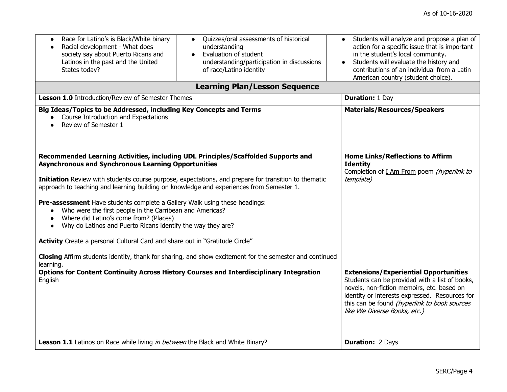| Race for Latino's is Black/White binary<br>$\bullet$<br>Racial development - What does<br>$\bullet$<br>society say about Puerto Ricans and<br>Latinos in the past and the United<br>States today?                                                                                                                                                                                                                                                                                                                                                                                                                                                                                                                                                                                                                           | Quizzes/oral assessments of historical<br>$\bullet$<br>understanding<br>Evaluation of student<br>$\bullet$<br>understanding/participation in discussions<br>of race/Latino identity | Students will analyze and propose a plan of<br>action for a specific issue that is important<br>in the student's local community.<br>Students will evaluate the history and<br>contributions of an individual from a Latin<br>American country (student choice).               |
|-----------------------------------------------------------------------------------------------------------------------------------------------------------------------------------------------------------------------------------------------------------------------------------------------------------------------------------------------------------------------------------------------------------------------------------------------------------------------------------------------------------------------------------------------------------------------------------------------------------------------------------------------------------------------------------------------------------------------------------------------------------------------------------------------------------------------------|-------------------------------------------------------------------------------------------------------------------------------------------------------------------------------------|--------------------------------------------------------------------------------------------------------------------------------------------------------------------------------------------------------------------------------------------------------------------------------|
|                                                                                                                                                                                                                                                                                                                                                                                                                                                                                                                                                                                                                                                                                                                                                                                                                             | <b>Learning Plan/Lesson Sequence</b>                                                                                                                                                |                                                                                                                                                                                                                                                                                |
| Lesson 1.0 Introduction/Review of Semester Themes                                                                                                                                                                                                                                                                                                                                                                                                                                                                                                                                                                                                                                                                                                                                                                           |                                                                                                                                                                                     | <b>Duration: 1 Day</b>                                                                                                                                                                                                                                                         |
| Big Ideas/Topics to be Addressed, including Key Concepts and Terms<br>• Course Introduction and Expectations<br>Review of Semester 1<br>$\bullet$                                                                                                                                                                                                                                                                                                                                                                                                                                                                                                                                                                                                                                                                           |                                                                                                                                                                                     | <b>Materials/Resources/Speakers</b>                                                                                                                                                                                                                                            |
| Recommended Learning Activities, including UDL Principles/Scaffolded Supports and<br><b>Asynchronous and Synchronous Learning Opportunities</b><br>Initiation Review with students course purpose, expectations, and prepare for transition to thematic<br>approach to teaching and learning building on knowledge and experiences from Semester 1.<br>Pre-assessment Have students complete a Gallery Walk using these headings:<br>Who were the first people in the Carribean and Americas?<br>Where did Latino's come from? (Places)<br>Why do Latinos and Puerto Ricans identify the way they are?<br>$\bullet$<br>Activity Create a personal Cultural Card and share out in "Gratitude Circle"<br>Closing Affirm students identity, thank for sharing, and show excitement for the semester and continued<br>learning. |                                                                                                                                                                                     | <b>Home Links/Reflections to Affirm</b><br><b>Identity</b><br>Completion of I Am From poem (hyperlink to<br>template)                                                                                                                                                          |
| English                                                                                                                                                                                                                                                                                                                                                                                                                                                                                                                                                                                                                                                                                                                                                                                                                     | <b>Options for Content Continuity Across History Courses and Interdisciplinary Integration</b>                                                                                      | <b>Extensions/Experiential Opportunities</b><br>Students can be provided with a list of books,<br>novels, non-fiction memoirs, etc. based on<br>identity or interests expressed. Resources for<br>this can be found (hyperlink to book sources<br>like We Diverse Books, etc.) |
| Lesson 1.1 Latinos on Race while living in between the Black and White Binary?                                                                                                                                                                                                                                                                                                                                                                                                                                                                                                                                                                                                                                                                                                                                              |                                                                                                                                                                                     | <b>Duration: 2 Days</b>                                                                                                                                                                                                                                                        |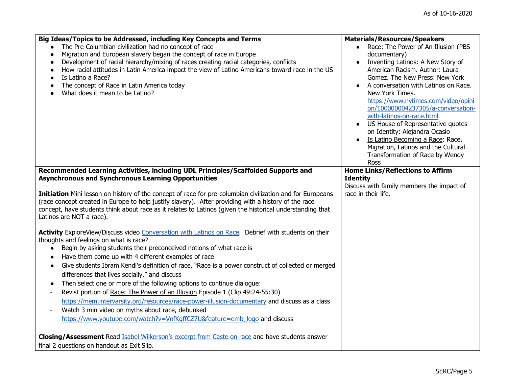| Big Ideas/Topics to be Addressed, including Key Concepts and Terms                                                                                                                                                                                                                                                                                         | <b>Materials/Resources/Speakers</b>                                                                     |
|------------------------------------------------------------------------------------------------------------------------------------------------------------------------------------------------------------------------------------------------------------------------------------------------------------------------------------------------------------|---------------------------------------------------------------------------------------------------------|
| The Pre-Columbian civilization had no concept of race                                                                                                                                                                                                                                                                                                      | Race: The Power of An Illusion (PBS                                                                     |
| Migration and European slavery began the concept of race in Europe                                                                                                                                                                                                                                                                                         | documentary)                                                                                            |
| Development of racial hierarchy/mixing of races creating racial categories, conflicts<br>$\bullet$                                                                                                                                                                                                                                                         | Inventing Latinos: A New Story of                                                                       |
| How racial attitudes in Latin America impact the view of Latino Americans toward race in the US<br>$\bullet$                                                                                                                                                                                                                                               | American Racism, Author: Laura                                                                          |
| Is Latino a Race?                                                                                                                                                                                                                                                                                                                                          | Gomez. The New Press: New York                                                                          |
| The concept of Race in Latin America today                                                                                                                                                                                                                                                                                                                 | A conversation with Latinos on Race.                                                                    |
| What does it mean to be Latino?                                                                                                                                                                                                                                                                                                                            | New York Times.                                                                                         |
|                                                                                                                                                                                                                                                                                                                                                            | https://www.nytimes.com/video/opini                                                                     |
|                                                                                                                                                                                                                                                                                                                                                            | on/100000004237305/a-conversation-                                                                      |
|                                                                                                                                                                                                                                                                                                                                                            | with-latinos-on-race.html                                                                               |
|                                                                                                                                                                                                                                                                                                                                                            | US House of Representative quotes<br>on Identity: Alejandra Ocasio                                      |
|                                                                                                                                                                                                                                                                                                                                                            | Is Latino Becoming a Race: Race,                                                                        |
|                                                                                                                                                                                                                                                                                                                                                            | Migration, Latinos and the Cultural                                                                     |
|                                                                                                                                                                                                                                                                                                                                                            | Transformation of Race by Wendy                                                                         |
|                                                                                                                                                                                                                                                                                                                                                            | Ross                                                                                                    |
| Recommended Learning Activities, including UDL Principles/Scaffolded Supports and<br><b>Asynchronous and Synchronous Learning Opportunities</b>                                                                                                                                                                                                            | <b>Home Links/Reflections to Affirm</b><br><b>Identity</b><br>Discuss with family members the impact of |
| Initiation Mini lesson on history of the concept of race for pre-columbian civilization and for Europeans<br>(race concept created in Europe to help justify slavery). After providing with a history of the race<br>concept, have students think about race as it relates to Latinos (given the historical understanding that<br>Latinos are NOT a race). | race in their life.                                                                                     |
| Activity ExploreView/Discuss video Conversation with Latinos on Race. Debrief with students on their                                                                                                                                                                                                                                                       |                                                                                                         |
| thoughts and feelings on what is race?                                                                                                                                                                                                                                                                                                                     |                                                                                                         |
| Begin by asking students their preconceived notions of what race is                                                                                                                                                                                                                                                                                        |                                                                                                         |
| Have them come up with 4 different examples of race<br>$\bullet$                                                                                                                                                                                                                                                                                           |                                                                                                         |
| Give students Ibram Kendi's definition of race, "Race is a power construct of collected or merged<br>$\bullet$                                                                                                                                                                                                                                             |                                                                                                         |
| differences that lives socially." and discuss                                                                                                                                                                                                                                                                                                              |                                                                                                         |
| Then select one or more of the following options to continue dialogue:<br>$\bullet$                                                                                                                                                                                                                                                                        |                                                                                                         |
| Revist portion of Race: The Power of an Illusion Episode 1 (Clip 49:24-55:30)<br>$\overline{a}$                                                                                                                                                                                                                                                            |                                                                                                         |
| https://mem.intervarsity.org/resources/race-power-illusion-documentary and discuss as a class                                                                                                                                                                                                                                                              |                                                                                                         |
| Watch 3 min video on myths about race, debunked<br>$\qquad \qquad \blacksquare$                                                                                                                                                                                                                                                                            |                                                                                                         |
| https://www.youtube.com/watch?v=VnfKqffCZ7U&feature=emb logo and discuss                                                                                                                                                                                                                                                                                   |                                                                                                         |
|                                                                                                                                                                                                                                                                                                                                                            |                                                                                                         |
| <b>Closing/Assessment</b> Read Isabel Wilkerson's excerpt from Caste on race and have students answer                                                                                                                                                                                                                                                      |                                                                                                         |
| final 2 questions on handout as Exit Slip.                                                                                                                                                                                                                                                                                                                 |                                                                                                         |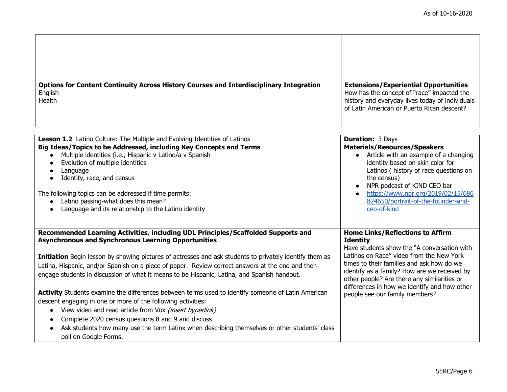| <b>Options for Content Continuity Across History Courses and Interdisciplinary Integration</b> | <b>Extensions/Experiential Opportunities</b>                                                  |
|------------------------------------------------------------------------------------------------|-----------------------------------------------------------------------------------------------|
| English<br><b>Health</b>                                                                       | How has the concept of "race" impacted the<br>history and everyday lives today of individuals |
|                                                                                                | of Latin American or Puerto Rican descent?                                                    |
|                                                                                                |                                                                                               |

| Lesson 1.2 Latino Culture: The Multiple and Evolving Identities of Latinos                                                                                                                                                                                                                                                                                                                                                 | <b>Duration: 3 Days</b>                                                                                                                                                                                                                                                                                            |
|----------------------------------------------------------------------------------------------------------------------------------------------------------------------------------------------------------------------------------------------------------------------------------------------------------------------------------------------------------------------------------------------------------------------------|--------------------------------------------------------------------------------------------------------------------------------------------------------------------------------------------------------------------------------------------------------------------------------------------------------------------|
| Big Ideas/Topics to be Addressed, including Key Concepts and Terms<br>Multiple identities (i.e., Hispanic v Latino/a v Spanish<br>Evolution of multiple identities<br>Language<br>Identity, race, and census<br>The following topics can be addressed if time permits:<br>Latino passing-what does this mean?<br>Language and its relationship to the Latino identity                                                      | <b>Materials/Resources/Speakers</b><br>• Article with an example of a changing<br>identity based on skin color for<br>Latinos (history of race questions on<br>the census)<br>NPR podcast of KIND CEO bar<br>https://www.npr.org/2019/02/15/686<br>$\bullet$<br>824650/portrait-of-the-founder-and-<br>ceo-of-kind |
| Recommended Learning Activities, including UDL Principles/Scaffolded Supports and<br><b>Asynchronous and Synchronous Learning Opportunities</b>                                                                                                                                                                                                                                                                            | <b>Home Links/Reflections to Affirm</b><br><b>Identity</b><br>Have students show the "A conversation with                                                                                                                                                                                                          |
| Initiation Begin lesson by showing pictures of actresses and ask students to privately identify them as<br>Latina, Hispanic, and/or Spanish on a piece of paper. Review correct answers at the end and then<br>engage students in discussion of what it means to be Hispanic, Latina, and Spanish handout.                                                                                                                 | Latinos on Race" video from the New York<br>times to their families and ask how do we<br>identify as a family? How are we received by<br>other people? Are there any similarities or                                                                                                                               |
| Activity Students examine the differences between terms used to identify someone of Latin American<br>descent engaging in one or more of the following activities:<br>View video and read article from Vox (insert hyperlink)<br>$\bullet$<br>Complete 2020 census questions 8 and 9 and discuss<br>Ask students how many use the term Latinx when describing themselves or other students' class<br>poll on Google Forms. | differences in how we identify and how other<br>people see our family members?                                                                                                                                                                                                                                     |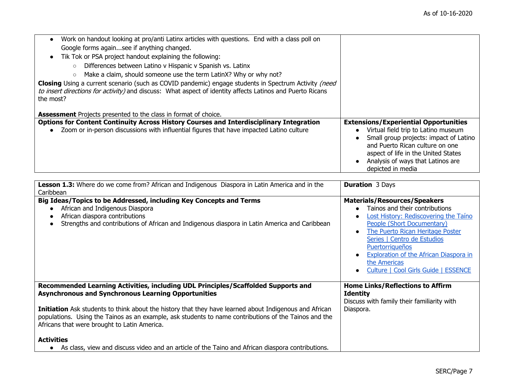| Work on handout looking at pro/anti Latinx articles with questions. End with a class poll on<br>$\bullet$                                                                                                                                    |                                                                                                                                                                                                                                                                   |
|----------------------------------------------------------------------------------------------------------------------------------------------------------------------------------------------------------------------------------------------|-------------------------------------------------------------------------------------------------------------------------------------------------------------------------------------------------------------------------------------------------------------------|
| Google forms againsee if anything changed.                                                                                                                                                                                                   |                                                                                                                                                                                                                                                                   |
| Tik Tok or PSA project handout explaining the following:<br>$\bullet$                                                                                                                                                                        |                                                                                                                                                                                                                                                                   |
| Differences between Latino v Hispanic v Spanish vs. Latinx<br>$\circ$                                                                                                                                                                        |                                                                                                                                                                                                                                                                   |
| Make a claim, should someone use the term LatinX? Why or why not?<br>$\circ$                                                                                                                                                                 |                                                                                                                                                                                                                                                                   |
| <b>Closing</b> Using a current scenario (such as COVID pandemic) engage students in Spectrum Activity <i>(need</i><br>to insert directions for activity) and discuss: What aspect of identity affects Latinos and Puerto Ricans<br>the most? |                                                                                                                                                                                                                                                                   |
| <b>Assessment</b> Projects presented to the class in format of choice.                                                                                                                                                                       |                                                                                                                                                                                                                                                                   |
| <b>Options for Content Continuity Across History Courses and Interdisciplinary Integration</b><br>Zoom or in-person discussions with influential figures that have impacted Latino culture<br>$\bullet$                                      | <b>Extensions/Experiential Opportunities</b><br>Virtual field trip to Latino museum<br>Small group projects: impact of Latino<br>and Puerto Rican culture on one<br>aspect of life in the United States<br>Analysis of ways that Latinos are<br>depicted in media |

| Lesson 1.3: Where do we come from? African and Indigenous Diaspora in Latin America and in the<br>Caribbean                                                                                                                                                     | <b>Duration</b> 3 Days                                                                                                                                                                                                                                                                                                                      |
|-----------------------------------------------------------------------------------------------------------------------------------------------------------------------------------------------------------------------------------------------------------------|---------------------------------------------------------------------------------------------------------------------------------------------------------------------------------------------------------------------------------------------------------------------------------------------------------------------------------------------|
| Big Ideas/Topics to be Addressed, including Key Concepts and Terms<br>African and Indigenous Diaspora<br>African diaspora contributions<br>Strengths and contributions of African and Indigenous diaspora in Latin America and Caribbean                        | <b>Materials/Resources/Speakers</b><br>Tainos and their contributions<br>Lost History: Rediscovering the Taino<br>People (Short Documentary)<br>The Puerto Rican Heritage Poster<br>Series   Centro de Estudios<br><b>Puertorriqueños</b><br>Exploration of the African Diaspora in<br>the Americas<br>Culture   Cool Girls Guide   ESSENCE |
| Recommended Learning Activities, including UDL Principles/Scaffolded Supports and<br><b>Asynchronous and Synchronous Learning Opportunities</b>                                                                                                                 | <b>Home Links/Reflections to Affirm</b><br><b>Identity</b><br>Discuss with family their familiarity with                                                                                                                                                                                                                                    |
| Initiation Ask students to think about the history that they have learned about Indigenous and African<br>populations. Using the Tainos as an example, ask students to name contributions of the Tainos and the<br>Africans that were brought to Latin America. | Diaspora.                                                                                                                                                                                                                                                                                                                                   |
| <b>Activities</b><br>As class, view and discuss video and an article of the Taino and African diaspora contributions.                                                                                                                                           |                                                                                                                                                                                                                                                                                                                                             |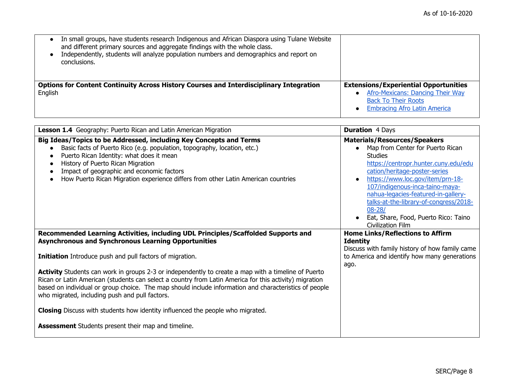| In small groups, have students research Indigenous and African Diaspora using Tulane Website<br>$\bullet$<br>and different primary sources and aggregate findings with the whole class.<br>Independently, students will analyze population numbers and demographics and report on<br>conclusions. |                                                                                                                                                       |
|---------------------------------------------------------------------------------------------------------------------------------------------------------------------------------------------------------------------------------------------------------------------------------------------------|-------------------------------------------------------------------------------------------------------------------------------------------------------|
| <b>Options for Content Continuity Across History Courses and Interdisciplinary Integration</b><br>English                                                                                                                                                                                         | <b>Extensions/Experiential Opportunities</b><br>Afro-Mexicans: Dancing Their Way<br><b>Back To Their Roots</b><br><b>Embracing Afro Latin America</b> |

| Lesson 1.4 Geography: Puerto Rican and Latin American Migration                                                                                                                                                                                                                                                                                                                 | <b>Duration 4 Days</b>                                                                                                                                                                                                                                                                                                                                                                                |
|---------------------------------------------------------------------------------------------------------------------------------------------------------------------------------------------------------------------------------------------------------------------------------------------------------------------------------------------------------------------------------|-------------------------------------------------------------------------------------------------------------------------------------------------------------------------------------------------------------------------------------------------------------------------------------------------------------------------------------------------------------------------------------------------------|
| Big Ideas/Topics to be Addressed, including Key Concepts and Terms<br>Basic facts of Puerto Rico (e.g. population, topography, location, etc.)<br>Puerto Rican Identity: what does it mean<br>History of Puerto Rican Migration<br>Impact of geographic and economic factors<br>How Puerto Rican Migration experience differs from other Latin American countries               | <b>Materials/Resources/Speakers</b><br>Map from Center for Puerto Rican<br><b>Studies</b><br>https://centropr.hunter.cuny.edu/edu<br>cation/heritage-poster-series<br>https://www.loc.gov/item/prn-18-<br>107/indigenous-inca-taino-maya-<br>nahua-legacies-featured-in-gallery-<br>talks-at-the-library-of-congress/2018-<br>$08 - 28/$<br>Eat, Share, Food, Puerto Rico: Taino<br>Civilization Film |
| Recommended Learning Activities, including UDL Principles/Scaffolded Supports and<br><b>Asynchronous and Synchronous Learning Opportunities</b>                                                                                                                                                                                                                                 | <b>Home Links/Reflections to Affirm</b><br><b>Identity</b>                                                                                                                                                                                                                                                                                                                                            |
| Initiation Introduce push and pull factors of migration.                                                                                                                                                                                                                                                                                                                        | Discuss with family history of how family came<br>to America and identify how many generations<br>ago.                                                                                                                                                                                                                                                                                                |
| <b>Activity</b> Students can work in groups 2-3 or independently to create a map with a timeline of Puerto<br>Rican or Latin American (students can select a country from Latin America for this activity) migration<br>based on individual or group choice. The map should include information and characteristics of people<br>who migrated, including push and pull factors. |                                                                                                                                                                                                                                                                                                                                                                                                       |
| Closing Discuss with students how identity influenced the people who migrated.                                                                                                                                                                                                                                                                                                  |                                                                                                                                                                                                                                                                                                                                                                                                       |
| <b>Assessment</b> Students present their map and timeline.                                                                                                                                                                                                                                                                                                                      |                                                                                                                                                                                                                                                                                                                                                                                                       |